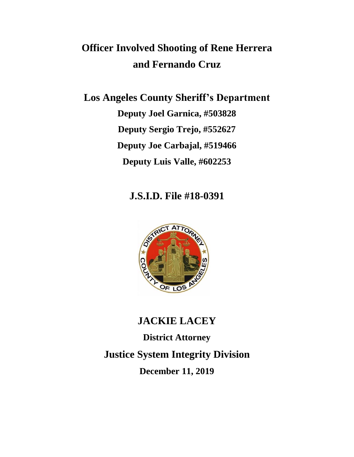# **Officer Involved Shooting of Rene Herrera and Fernando Cruz**

**Los Angeles County Sheriff's Department Deputy Joel Garnica, #503828 Deputy Sergio Trejo, #552627 Deputy Joe Carbajal, #519466 Deputy Luis Valle, #602253**

# **J.S.I.D. File #18-0391**



**JACKIE LACEY District Attorney Justice System Integrity Division December 11, 2019**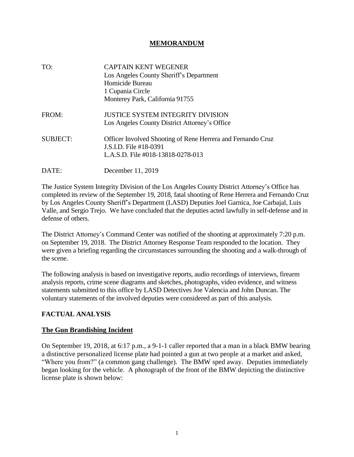#### **MEMORANDUM**

| TO:             | <b>CAPTAIN KENT WEGENER</b><br>Los Angeles County Sheriff's Department<br>Homicide Bureau<br>1 Cupania Circle<br>Monterey Park, California 91755 |
|-----------------|--------------------------------------------------------------------------------------------------------------------------------------------------|
| FROM:           | <b>JUSTICE SYSTEM INTEGRITY DIVISION</b><br>Los Angeles County District Attorney's Office                                                        |
| <b>SUBJECT:</b> | Officer Involved Shooting of Rene Herrera and Fernando Cruz<br>J.S.I.D. File #18-0391<br>L.A.S.D. File #018-13818-0278-013                       |
| DATE:           | December 11, 2019                                                                                                                                |

The Justice System Integrity Division of the Los Angeles County District Attorney's Office has completed its review of the September 19, 2018, fatal shooting of Rene Herrera and Fernando Cruz by Los Angeles County Sheriff's Department (LASD) Deputies Joel Garnica, Joe Carbajal, Luis Valle, and Sergio Trejo. We have concluded that the deputies acted lawfully in self-defense and in defense of others.

The District Attorney's Command Center was notified of the shooting at approximately 7:20 p.m. on September 19, 2018. The District Attorney Response Team responded to the location. They were given a briefing regarding the circumstances surrounding the shooting and a walk-through of the scene.

The following analysis is based on investigative reports, audio recordings of interviews, firearm analysis reports, crime scene diagrams and sketches, photographs, video evidence, and witness statements submitted to this office by LASD Detectives Joe Valencia and John Duncan. The voluntary statements of the involved deputies were considered as part of this analysis.

#### **FACTUAL ANALYSIS**

#### **The Gun Brandishing Incident**

On September 19, 2018, at 6:17 p.m., a 9-1-1 caller reported that a man in a black BMW bearing a distinctive personalized license plate had pointed a gun at two people at a market and asked, "Where you from?" (a common gang challenge). The BMW sped away. Deputies immediately began looking for the vehicle. A photograph of the front of the BMW depicting the distinctive license plate is shown below: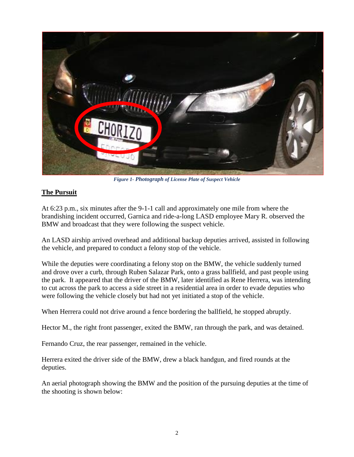

*Figure 1- Photograph of License Plate of Suspect Vehicle*

#### **The Pursuit**

At 6:23 p.m., six minutes after the 9-1-1 call and approximately one mile from where the brandishing incident occurred, Garnica and ride-a-long LASD employee Mary R. observed the BMW and broadcast that they were following the suspect vehicle.

An LASD airship arrived overhead and additional backup deputies arrived, assisted in following the vehicle, and prepared to conduct a felony stop of the vehicle.

While the deputies were coordinating a felony stop on the BMW, the vehicle suddenly turned and drove over a curb, through Ruben Salazar Park, onto a grass ballfield, and past people using the park. It appeared that the driver of the BMW, later identified as Rene Herrera, was intending to cut across the park to access a side street in a residential area in order to evade deputies who were following the vehicle closely but had not yet initiated a stop of the vehicle.

When Herrera could not drive around a fence bordering the ballfield, he stopped abruptly.

Hector M., the right front passenger, exited the BMW, ran through the park, and was detained.

Fernando Cruz, the rear passenger, remained in the vehicle.

Herrera exited the driver side of the BMW, drew a black handgun, and fired rounds at the deputies.

An aerial photograph showing the BMW and the position of the pursuing deputies at the time of the shooting is shown below: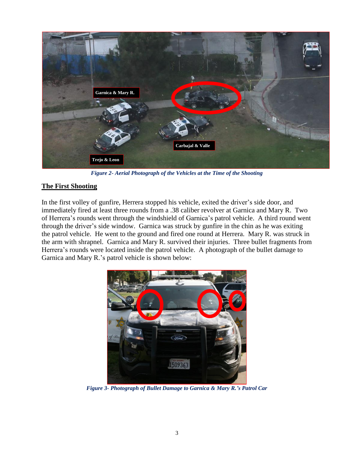

*Figure 2- Aerial Photograph of the Vehicles at the Time of the Shooting*

# **The First Shooting**

In the first volley of gunfire, Herrera stopped his vehicle, exited the driver's side door, and immediately fired at least three rounds from a .38 caliber revolver at Garnica and Mary R. Two of Herrera's rounds went through the windshield of Garnica's patrol vehicle. A third round went through the driver's side window. Garnica was struck by gunfire in the chin as he was exiting the patrol vehicle. He went to the ground and fired one round at Herrera. Mary R. was struck in the arm with shrapnel. Garnica and Mary R. survived their injuries. Three bullet fragments from Herrera's rounds were located inside the patrol vehicle. A photograph of the bullet damage to Garnica and Mary R.'s patrol vehicle is shown below:



*Figure 3- Photograph of Bullet Damage to Garnica & Mary R.'s Patrol Car*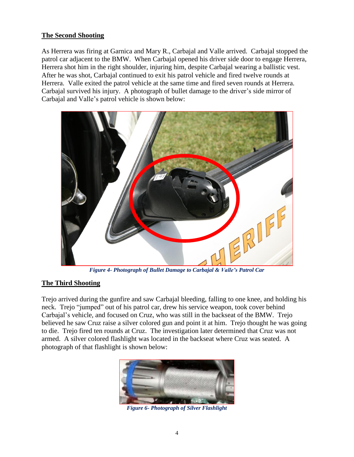#### **The Second Shooting**

As Herrera was firing at Garnica and Mary R., Carbajal and Valle arrived. Carbajal stopped the patrol car adjacent to the BMW. When Carbajal opened his driver side door to engage Herrera, Herrera shot him in the right shoulder, injuring him, despite Carbajal wearing a ballistic vest. After he was shot, Carbajal continued to exit his patrol vehicle and fired twelve rounds at Herrera. Valle exited the patrol vehicle at the same time and fired seven rounds at Herrera. Carbajal survived his injury. A photograph of bullet damage to the driver's side mirror of Carbajal and Valle's patrol vehicle is shown below:



*Figure 4- Photograph of Bullet Damage to Carbajal & Valle's Patrol Car*

#### **The Third Shooting**

Trejo arrived during the gunfire and saw Carbajal bleeding, falling to one knee, and holding his neck. Trejo "jumped" out of his patrol car, drew his service weapon, took cover behind Carbajal's vehicle, and focused on Cruz, who was still in the backseat of the BMW. Trejo believed he saw Cruz raise a silver colored gun and point it at him. Trejo thought he was going to die. Trejo fired ten rounds at Cruz. The investigation later determined that Cruz was not armed. A silver colored flashlight was located in the backseat where Cruz was seated. A photograph of that flashlight is shown below:



*Figure 6- Photograph of Silver Flashlight*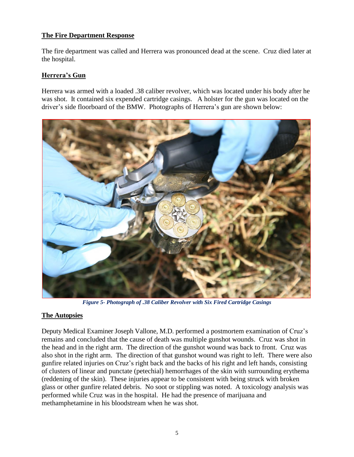#### **The Fire Department Response**

The fire department was called and Herrera was pronounced dead at the scene. Cruz died later at the hospital.

# **Herrera's Gun**

Herrera was armed with a loaded .38 caliber revolver, which was located under his body after he was shot. It contained six expended cartridge casings. A holster for the gun was located on the driver's side floorboard of the BMW. Photographs of Herrera's gun are shown below:



*Figure 5- Photograph of .38 Caliber Revolver with Six Fired Cartridge Casings*

#### **The Autopsies**

Deputy Medical Examiner Joseph Vallone, M.D. performed a postmortem examination of Cruz's remains and concluded that the cause of death was multiple gunshot wounds. Cruz was shot in the head and in the right arm. The direction of the gunshot wound was back to front. Cruz was also shot in the right arm. The direction of that gunshot wound was right to left. There were also gunfire related injuries on Cruz's right back and the backs of his right and left hands, consisting of clusters of linear and punctate (petechial) hemorrhages of the skin with surrounding erythema (reddening of the skin). These injuries appear to be consistent with being struck with broken glass or other gunfire related debris. No soot or stippling was noted. A toxicology analysis was performed while Cruz was in the hospital. He had the presence of marijuana and methamphetamine in his bloodstream when he was shot.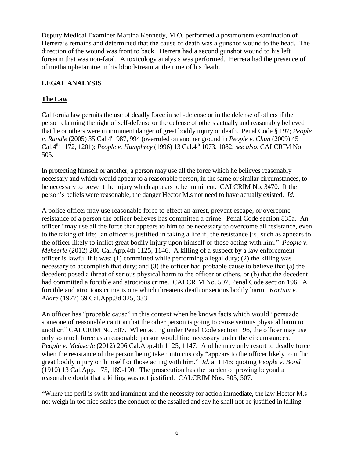Deputy Medical Examiner Martina Kennedy, M.O. performed a postmortem examination of Herrera's remains and determined that the cause of death was a gunshot wound to the head. The direction of the wound was front to back. Herrera had a second gunshot wound to his left forearm that was non-fatal. A toxicology analysis was performed. Herrera had the presence of of methamphetamine in his bloodstream at the time of his death.

# **LEGAL ANALYSIS**

# **The Law**

California law permits the use of deadly force in self-defense or in the defense of others if the person claiming the right of self-defense or the defense of others actually and reasonably believed that he or others were in imminent danger of great bodily injury or death. Penal Code § 197; *People v. Randle* (2005) 35 Cal.4th 987, 994 (overruled on another ground in *People v. Chun* (2009) 45 Cal.4th 1172, 1201); *People v. Humphrey* (1996) 13 Cal.4th 1073, 1082; *see also,* CALCRIM No. 505.

In protecting himself or another, a person may use all the force which he believes reasonably necessary and which would appear to a reasonable person, in the same or similar circumstances, to be necessary to prevent the injury which appears to be imminent. CALCRIM No. 3470. If the person's beliefs were reasonable, the danger Hector M.s not need to have actually existed. *Id.*

A police officer may use reasonable force to effect an arrest, prevent escape, or overcome resistance of a person the officer believes has committed a crime. Penal Code section 835a. An officer "may use all the force that appears to him to be necessary to overcome all resistance, even to the taking of life; [an officer is justified in taking a life if] the resistance [is] such as appears to the officer likely to inflict great bodily injury upon himself or those acting with him." *People v. Mehserle* (2012) 206 Cal.App.4th 1125, 1146. A killing of a suspect by a law enforcement officer is lawful if it was: (1) committed while performing a legal duty; (2) the killing was necessary to accomplish that duty; and (3) the officer had probable cause to believe that (a) the decedent posed a threat of serious physical harm to the officer or others, or (b) that the decedent had committed a forcible and atrocious crime. CALCRIM No. 507, Penal Code section 196. A forcible and atrocious crime is one which threatens death or serious bodily harm. *Kortum v. Alkire* (1977) 69 Cal.App.3d 325, 333.

An officer has "probable cause" in this context when he knows facts which would "persuade someone of reasonable caution that the other person is going to cause serious physical harm to another." CALCRIM No. 507. When acting under Penal Code section 196, the officer may use only so much force as a reasonable person would find necessary under the circumstances. *People v. Mehserle* (2012) 206 Cal.App.4th 1125, 1147. And he may only resort to deadly force when the resistance of the person being taken into custody "appears to the officer likely to inflict great bodily injury on himself or those acting with him." *Id.* at 1146; quoting *People v. Bond* (1910) 13 Cal.App. 175, 189-190. The prosecution has the burden of proving beyond a reasonable doubt that a killing was not justified. CALCRIM Nos. 505, 507.

"Where the peril is swift and imminent and the necessity for action immediate, the law Hector M.s not weigh in too nice scales the conduct of the assailed and say he shall not be justified in killing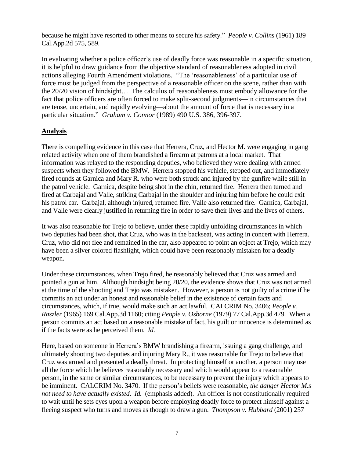because he might have resorted to other means to secure his safety." *People v. Collins* (1961) 189 Cal.App.2d 575, 589.

In evaluating whether a police officer's use of deadly force was reasonable in a specific situation, it is helpful to draw guidance from the objective standard of reasonableness adopted in civil actions alleging Fourth Amendment violations. "The 'reasonableness' of a particular use of force must be judged from the perspective of a reasonable officer on the scene, rather than with the 20/20 vision of hindsight… The calculus of reasonableness must embody allowance for the fact that police officers are often forced to make split-second judgments—in circumstances that are tense, uncertain, and rapidly evolving—about the amount of force that is necessary in a particular situation." *Graham v. Connor* (1989) 490 U.S. 386, 396-397.

#### **Analysis**

There is compelling evidence in this case that Herrera, Cruz, and Hector M. were engaging in gang related activity when one of them brandished a firearm at patrons at a local market. That information was relayed to the responding deputies, who believed they were dealing with armed suspects when they followed the BMW. Herrera stopped his vehicle, stepped out, and immediately fired rounds at Garnica and Mary R. who were both struck and injured by the gunfire while still in the patrol vehicle. Garnica, despite being shot in the chin, returned fire. Herrera then turned and fired at Carbajal and Valle, striking Carbajal in the shoulder and injuring him before he could exit his patrol car. Carbajal, although injured, returned fire. Valle also returned fire. Garnica, Carbajal, and Valle were clearly justified in returning fire in order to save their lives and the lives of others.

It was also reasonable for Trejo to believe, under these rapidly unfolding circumstances in which two deputies had been shot, that Cruz, who was in the backseat, was acting in concert with Herrera. Cruz, who did not flee and remained in the car, also appeared to point an object at Trejo, which may have been a silver colored flashlight, which could have been reasonably mistaken for a deadly weapon.

Under these circumstances, when Trejo fired, he reasonably believed that Cruz was armed and pointed a gun at him. Although hindsight being 20/20, the evidence shows that Cruz was not armed at the time of the shooting and Trejo was mistaken. However, a person is not guilty of a crime if he commits an act under an honest and reasonable belief in the existence of certain facts and circumstances, which, if true, would make such an act lawful. CALCRIM No. 3406; *People v. Raszler* (1965) 169 Cal.App.3d 1160; citing *People v. Osborne* (1979) 77 Cal.App.3d 479. When a person commits an act based on a reasonable mistake of fact, his guilt or innocence is determined as if the facts were as he perceived them. *Id.* 

Here, based on someone in Herrera's BMW brandishing a firearm, issuing a gang challenge, and ultimately shooting two deputies and injuring Mary R., it was reasonable for Trejo to believe that Cruz was armed and presented a deadly threat. In protecting himself or another, a person may use all the force which he believes reasonably necessary and which would appear to a reasonable person, in the same or similar circumstances, to be necessary to prevent the injury which appears to be imminent. CALCRIM No. 3470. If the person's beliefs were reasonable, *the danger Hector M.s not need to have actually existed*. *Id.* (emphasis added). An officer is not constitutionally required to wait until he sets eyes upon a weapon before employing deadly force to protect himself against a fleeing suspect who turns and moves as though to draw a gun. *Thompson v. Hubbard* (2001) 257